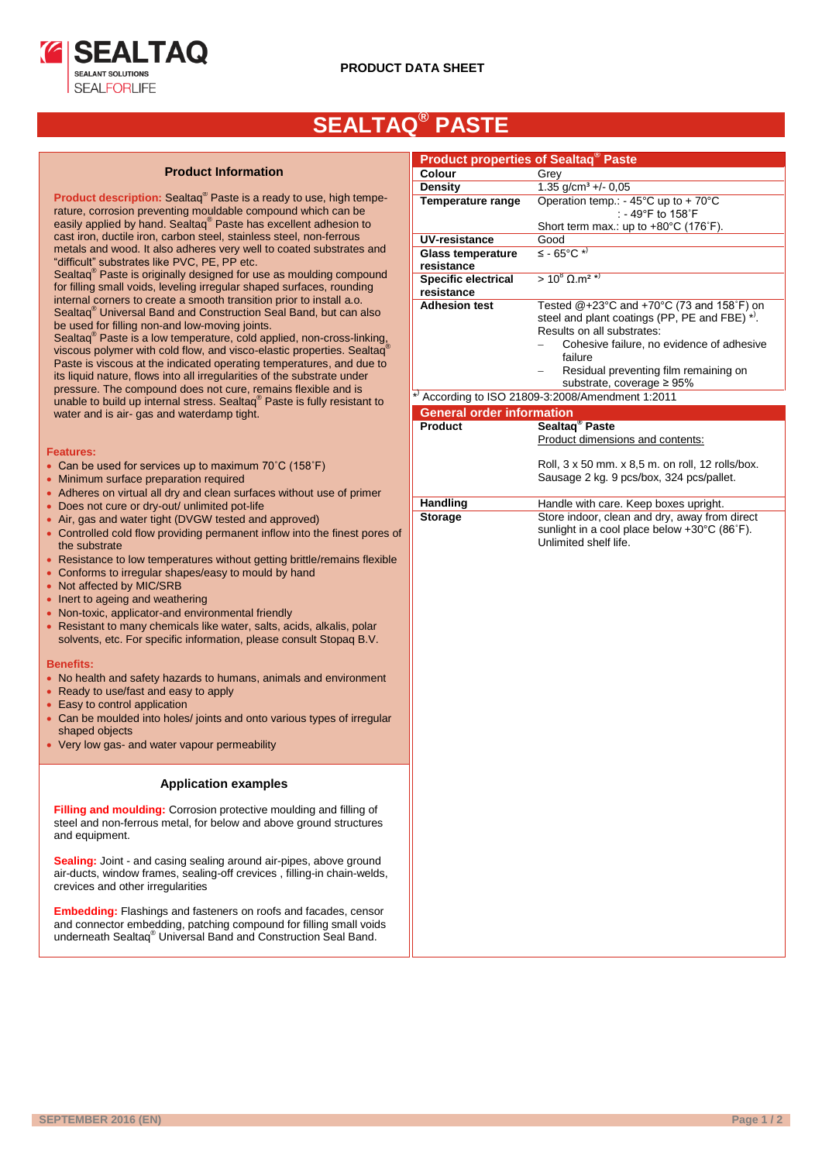

# **SEALTAQ® PASTE**

## **Product Information**

**Product description:** Sealtaq® Paste is a ready to use, high temperature, corrosion preventing mouldable compound which can be easily applied by hand. Sealtaq® Paste has excellent adhesion to cast iron, ductile iron, carbon steel, stainless steel, non-ferrous metals and wood. It also adheres very well to coated substrates and "difficult" substrates like PVC, PE, PP etc.

Sealtaq® Paste is originally designed for use as moulding compound for filling small voids, leveling irregular shaped surfaces, rounding internal corners to create a smooth transition prior to install a.o. Sealtaq® Universal Band and Construction Seal Band, but can also be used for filling non-and low-moving joints.

Sealtaq® Paste is a low temperature, cold applied, non-cross-linking, viscous polymer with cold flow, and visco-elastic properties. Sealtaq Paste is viscous at the indicated operating temperatures, and due to its liquid nature, flows into all irregularities of the substrate under pressure. The compound does not cure, remains flexible and is unable to build up internal stress. Sealtaq® Paste is fully resistant to water and is air- gas and waterdamp tight.

### **Features:**

- Can be used for services up to maximum 70°C (158°F)
- Minimum surface preparation required
- Adheres on virtual all dry and clean surfaces without use of primer
- Does not cure or dry-out/ unlimited pot-life
- Air, gas and water tight (DVGW tested and approved)
- Controlled cold flow providing permanent inflow into the finest pores of the substrate
- Resistance to low temperatures without getting brittle/remains flexible
- Conforms to irregular shapes/easy to mould by hand
- Not affected by MIC/SRB
- Inert to ageing and weathering
- Non-toxic, applicator-and environmental friendly
- Resistant to many chemicals like water, salts, acids, alkalis, polar solvents, etc. For specific information, please consult Stopaq B.V.

#### **Benefits:**

- No health and safety hazards to humans, animals and environment
- Ready to use/fast and easy to apply
- Easy to control application
- Can be moulded into holes/ joints and onto various types of irregular shaped objects
- Very low gas- and water vapour permeability

## **Application examples**

**Filling and moulding:** Corrosion protective moulding and filling of steel and non-ferrous metal, for below and above ground structures and equipment.

**Sealing:** Joint - and casing sealing around air-pipes, above ground air-ducts, window frames, sealing-off crevices , filling-in chain-welds, crevices and other irregularities

**Embedding:** Flashings and fasteners on roofs and facades, censor and connector embedding, patching compound for filling small voids underneath Sealtaq® Universal Band and Construction Seal Band.

| <b>Product properties of Sealtag<sup>®</sup> Paste</b> |                                                                             |  |  |  |  |  |  |  |
|--------------------------------------------------------|-----------------------------------------------------------------------------|--|--|--|--|--|--|--|
| Colour                                                 | Grey                                                                        |  |  |  |  |  |  |  |
| <b>Density</b>                                         |                                                                             |  |  |  |  |  |  |  |
| Temperature range                                      | 1.35 $g/cm^3 +/- 0.05$                                                      |  |  |  |  |  |  |  |
|                                                        | Operation temp.: - 45°C up to + 70°C<br>: - 49°F to 158°F                   |  |  |  |  |  |  |  |
| UV-resistance                                          | Short term max.: up to +80°C (176°F).<br>Good                               |  |  |  |  |  |  |  |
| <b>Glass temperature</b>                               | $\leq$ - 65°C $\star$ )                                                     |  |  |  |  |  |  |  |
| resistance                                             |                                                                             |  |  |  |  |  |  |  |
| <b>Specific electrical</b><br>resistance               | $> 10^8$ Ω.m <sup>2 *)</sup>                                                |  |  |  |  |  |  |  |
| <b>Adhesion test</b>                                   | Tested @+23°C and +70°C (73 and 158°F) on                                   |  |  |  |  |  |  |  |
|                                                        | steel and plant coatings (PP, PE and FBE) *).<br>Results on all substrates: |  |  |  |  |  |  |  |
|                                                        | Cohesive failure, no evidence of adhesive<br>failure                        |  |  |  |  |  |  |  |
|                                                        | Residual preventing film remaining on<br>substrate, coverage ≥ 95%          |  |  |  |  |  |  |  |
|                                                        | $*$ ) According to ISO 21809-3:2008/Amendment 1:2011                        |  |  |  |  |  |  |  |
| <b>General order information</b>                       |                                                                             |  |  |  |  |  |  |  |
| <b>Product</b>                                         | Sealtaq <sup>®</sup> Paste                                                  |  |  |  |  |  |  |  |
|                                                        | Product dimensions and contents:                                            |  |  |  |  |  |  |  |
|                                                        | Roll, 3 x 50 mm. x 8,5 m. on roll, 12 rolls/box.                            |  |  |  |  |  |  |  |
|                                                        | Sausage 2 kg. 9 pcs/box, 324 pcs/pallet.                                    |  |  |  |  |  |  |  |
| <b>Handling</b>                                        | Handle with care. Keep boxes upright.                                       |  |  |  |  |  |  |  |
| <b>Storage</b>                                         | Store indoor, clean and dry, away from direct                               |  |  |  |  |  |  |  |
|                                                        | sunlight in a cool place below +30°C (86°F).                                |  |  |  |  |  |  |  |
|                                                        | Unlimited shelf life.                                                       |  |  |  |  |  |  |  |
|                                                        |                                                                             |  |  |  |  |  |  |  |
|                                                        |                                                                             |  |  |  |  |  |  |  |
|                                                        |                                                                             |  |  |  |  |  |  |  |
|                                                        |                                                                             |  |  |  |  |  |  |  |
|                                                        |                                                                             |  |  |  |  |  |  |  |
|                                                        |                                                                             |  |  |  |  |  |  |  |
|                                                        |                                                                             |  |  |  |  |  |  |  |
|                                                        |                                                                             |  |  |  |  |  |  |  |
|                                                        |                                                                             |  |  |  |  |  |  |  |
|                                                        |                                                                             |  |  |  |  |  |  |  |
|                                                        |                                                                             |  |  |  |  |  |  |  |
|                                                        |                                                                             |  |  |  |  |  |  |  |
|                                                        |                                                                             |  |  |  |  |  |  |  |
|                                                        |                                                                             |  |  |  |  |  |  |  |
|                                                        |                                                                             |  |  |  |  |  |  |  |
|                                                        |                                                                             |  |  |  |  |  |  |  |
|                                                        |                                                                             |  |  |  |  |  |  |  |
|                                                        |                                                                             |  |  |  |  |  |  |  |
|                                                        |                                                                             |  |  |  |  |  |  |  |
|                                                        |                                                                             |  |  |  |  |  |  |  |
|                                                        |                                                                             |  |  |  |  |  |  |  |
|                                                        |                                                                             |  |  |  |  |  |  |  |
|                                                        |                                                                             |  |  |  |  |  |  |  |
|                                                        |                                                                             |  |  |  |  |  |  |  |
|                                                        |                                                                             |  |  |  |  |  |  |  |
|                                                        |                                                                             |  |  |  |  |  |  |  |
|                                                        |                                                                             |  |  |  |  |  |  |  |
|                                                        |                                                                             |  |  |  |  |  |  |  |
|                                                        |                                                                             |  |  |  |  |  |  |  |